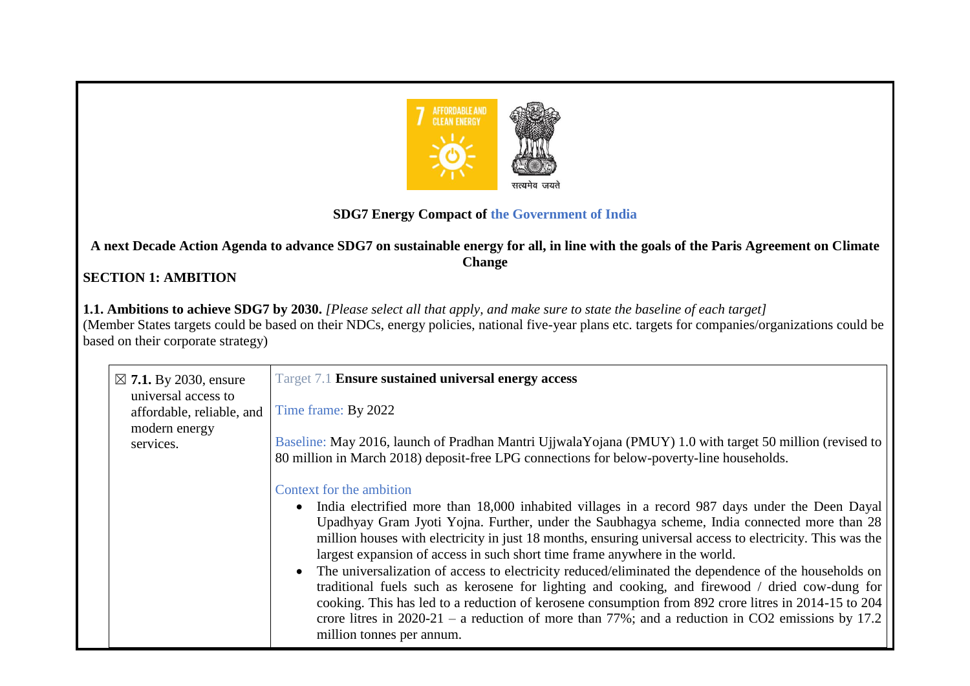

## **SDG7 Energy Compact of the Government of India**

**A next Decade Action Agenda to advance SDG7 on sustainable energy for all, in line with the goals of the Paris Agreement on Climate Change**

## **SECTION 1: AMBITION**

**1.1. Ambitions to achieve SDG7 by 2030.** *[Please select all that apply, and make sure to state the baseline of each target]*  (Member States targets could be based on their NDCs, energy policies, national five-year plans etc. targets for companies/organizations could be based on their corporate strategy)

| $\boxtimes$ 7.1. By 2030, ensure<br>universal access to | Target 7.1 <b>Ensure sustained universal energy access</b>                                                                                                                                                                                                                                                                                                                                                                                                                                                                                                                                                                                                                                                                                                                                                                                                                                  |
|---------------------------------------------------------|---------------------------------------------------------------------------------------------------------------------------------------------------------------------------------------------------------------------------------------------------------------------------------------------------------------------------------------------------------------------------------------------------------------------------------------------------------------------------------------------------------------------------------------------------------------------------------------------------------------------------------------------------------------------------------------------------------------------------------------------------------------------------------------------------------------------------------------------------------------------------------------------|
| affordable, reliable, and                               | Time frame: By 2022                                                                                                                                                                                                                                                                                                                                                                                                                                                                                                                                                                                                                                                                                                                                                                                                                                                                         |
| modern energy<br>services.                              | Baseline: May 2016, launch of Pradhan Mantri UjjwalaYojana (PMUY) 1.0 with target 50 million (revised to<br>80 million in March 2018) deposit-free LPG connections for below-poverty-line households.                                                                                                                                                                                                                                                                                                                                                                                                                                                                                                                                                                                                                                                                                       |
|                                                         | Context for the ambition<br>• India electrified more than 18,000 inhabited villages in a record 987 days under the Deen Dayal<br>Upadhyay Gram Jyoti Yojna. Further, under the Saubhagya scheme, India connected more than 28<br>million houses with electricity in just 18 months, ensuring universal access to electricity. This was the<br>largest expansion of access in such short time frame anywhere in the world.<br>The universalization of access to electricity reduced/eliminated the dependence of the households on<br>$\bullet$<br>traditional fuels such as kerosene for lighting and cooking, and firewood / dried cow-dung for<br>cooking. This has led to a reduction of kerosene consumption from 892 crore litres in 2014-15 to 204<br>crore litres in $2020-21$ – a reduction of more than 77%; and a reduction in CO2 emissions by 17.2<br>million tonnes per annum. |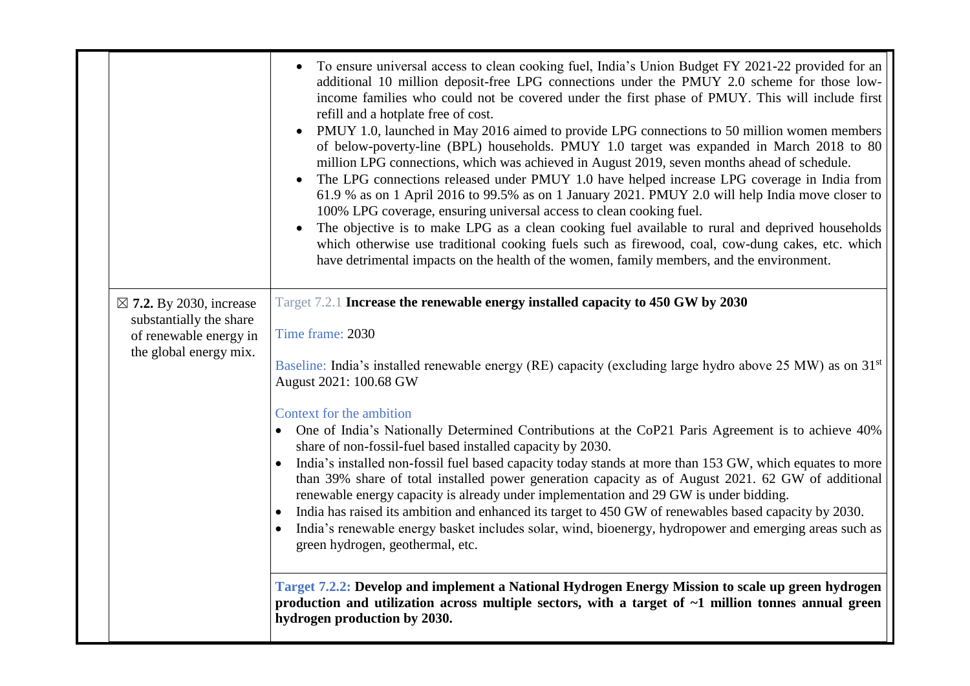|                                                                                                                   | To ensure universal access to clean cooking fuel, India's Union Budget FY 2021-22 provided for an<br>additional 10 million deposit-free LPG connections under the PMUY 2.0 scheme for those low-<br>income families who could not be covered under the first phase of PMUY. This will include first<br>refill and a hotplate free of cost.<br>PMUY 1.0, launched in May 2016 aimed to provide LPG connections to 50 million women members<br>of below-poverty-line (BPL) households. PMUY 1.0 target was expanded in March 2018 to 80<br>million LPG connections, which was achieved in August 2019, seven months ahead of schedule.<br>The LPG connections released under PMUY 1.0 have helped increase LPG coverage in India from<br>61.9 % as on 1 April 2016 to 99.5% as on 1 January 2021. PMUY 2.0 will help India move closer to<br>100% LPG coverage, ensuring universal access to clean cooking fuel.<br>The objective is to make LPG as a clean cooking fuel available to rural and deprived households<br>which otherwise use traditional cooking fuels such as firewood, coal, cow-dung cakes, etc. which<br>have detrimental impacts on the health of the women, family members, and the environment.                                                      |
|-------------------------------------------------------------------------------------------------------------------|-------------------------------------------------------------------------------------------------------------------------------------------------------------------------------------------------------------------------------------------------------------------------------------------------------------------------------------------------------------------------------------------------------------------------------------------------------------------------------------------------------------------------------------------------------------------------------------------------------------------------------------------------------------------------------------------------------------------------------------------------------------------------------------------------------------------------------------------------------------------------------------------------------------------------------------------------------------------------------------------------------------------------------------------------------------------------------------------------------------------------------------------------------------------------------------------------------------------------------------------------------------------------|
| $\boxtimes$ 7.2. By 2030, increase<br>substantially the share<br>of renewable energy in<br>the global energy mix. | Target 7.2.1 Increase the renewable energy installed capacity to 450 GW by 2030<br>Time frame: 2030<br>Baseline: India's installed renewable energy (RE) capacity (excluding large hydro above 25 MW) as on 31 <sup>st</sup><br>August 2021: 100.68 GW<br>Context for the ambition<br>• One of India's Nationally Determined Contributions at the CoP21 Paris Agreement is to achieve 40%<br>share of non-fossil-fuel based installed capacity by 2030.<br>India's installed non-fossil fuel based capacity today stands at more than 153 GW, which equates to more<br>than 39% share of total installed power generation capacity as of August 2021. 62 GW of additional<br>renewable energy capacity is already under implementation and 29 GW is under bidding.<br>• India has raised its ambition and enhanced its target to 450 GW of renewables based capacity by 2030.<br>India's renewable energy basket includes solar, wind, bioenergy, hydropower and emerging areas such as<br>green hydrogen, geothermal, etc.<br>Target 7.2.2: Develop and implement a National Hydrogen Energy Mission to scale up green hydrogen<br>production and utilization across multiple sectors, with a target of ~1 million tonnes annual green<br>hydrogen production by 2030. |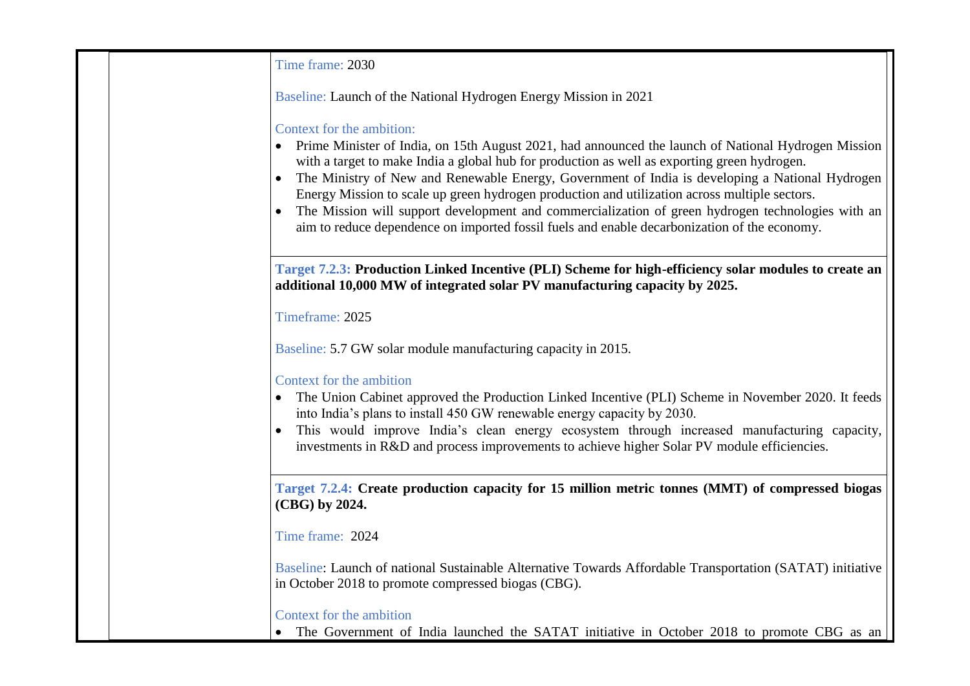| Time frame: 2030                                                                                                                                                                                                                                                                                                                                                                                                                                                                                                                                                                                                                          |
|-------------------------------------------------------------------------------------------------------------------------------------------------------------------------------------------------------------------------------------------------------------------------------------------------------------------------------------------------------------------------------------------------------------------------------------------------------------------------------------------------------------------------------------------------------------------------------------------------------------------------------------------|
| Baseline: Launch of the National Hydrogen Energy Mission in 2021                                                                                                                                                                                                                                                                                                                                                                                                                                                                                                                                                                          |
| Context for the ambition:<br>Prime Minister of India, on 15th August 2021, had announced the launch of National Hydrogen Mission<br>with a target to make India a global hub for production as well as exporting green hydrogen.<br>The Ministry of New and Renewable Energy, Government of India is developing a National Hydrogen<br>Energy Mission to scale up green hydrogen production and utilization across multiple sectors.<br>The Mission will support development and commercialization of green hydrogen technologies with an<br>aim to reduce dependence on imported fossil fuels and enable decarbonization of the economy. |
| Target 7.2.3: Production Linked Incentive (PLI) Scheme for high-efficiency solar modules to create an<br>additional 10,000 MW of integrated solar PV manufacturing capacity by 2025.                                                                                                                                                                                                                                                                                                                                                                                                                                                      |
| Timeframe: 2025                                                                                                                                                                                                                                                                                                                                                                                                                                                                                                                                                                                                                           |
| Baseline: 5.7 GW solar module manufacturing capacity in 2015.                                                                                                                                                                                                                                                                                                                                                                                                                                                                                                                                                                             |
| Context for the ambition<br>The Union Cabinet approved the Production Linked Incentive (PLI) Scheme in November 2020. It feeds<br>into India's plans to install 450 GW renewable energy capacity by 2030.<br>This would improve India's clean energy ecosystem through increased manufacturing capacity,<br>investments in R&D and process improvements to achieve higher Solar PV module efficiencies.                                                                                                                                                                                                                                   |
| Target 7.2.4: Create production capacity for 15 million metric tonnes (MMT) of compressed biogas<br>(CBG) by 2024.                                                                                                                                                                                                                                                                                                                                                                                                                                                                                                                        |
| Time frame: 2024                                                                                                                                                                                                                                                                                                                                                                                                                                                                                                                                                                                                                          |
| Baseline: Launch of national Sustainable Alternative Towards Affordable Transportation (SATAT) initiative<br>in October 2018 to promote compressed biogas (CBG).                                                                                                                                                                                                                                                                                                                                                                                                                                                                          |
| Context for the ambition<br>The Government of India launched the SATAT initiative in October 2018 to promote CBG as an                                                                                                                                                                                                                                                                                                                                                                                                                                                                                                                    |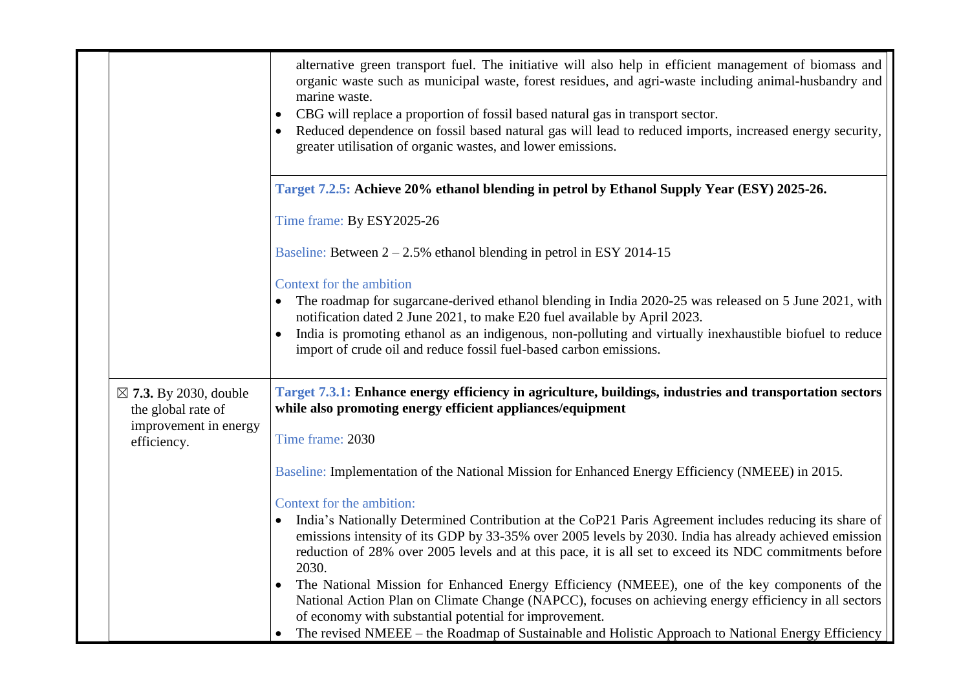|                                                        | alternative green transport fuel. The initiative will also help in efficient management of biomass and<br>organic waste such as municipal waste, forest residues, and agri-waste including animal-husbandry and<br>marine waste.<br>CBG will replace a proportion of fossil based natural gas in transport sector.<br>Reduced dependence on fossil based natural gas will lead to reduced imports, increased energy security,<br>greater utilisation of organic wastes, and lower emissions. |
|--------------------------------------------------------|----------------------------------------------------------------------------------------------------------------------------------------------------------------------------------------------------------------------------------------------------------------------------------------------------------------------------------------------------------------------------------------------------------------------------------------------------------------------------------------------|
|                                                        | Target 7.2.5: Achieve 20% ethanol blending in petrol by Ethanol Supply Year (ESY) 2025-26.                                                                                                                                                                                                                                                                                                                                                                                                   |
|                                                        | Time frame: By ESY2025-26                                                                                                                                                                                                                                                                                                                                                                                                                                                                    |
|                                                        | Baseline: Between $2 - 2.5\%$ ethanol blending in petrol in ESY 2014-15                                                                                                                                                                                                                                                                                                                                                                                                                      |
|                                                        | Context for the ambition                                                                                                                                                                                                                                                                                                                                                                                                                                                                     |
|                                                        | The roadmap for sugarcane-derived ethanol blending in India 2020-25 was released on 5 June 2021, with<br>notification dated 2 June 2021, to make E20 fuel available by April 2023.                                                                                                                                                                                                                                                                                                           |
|                                                        | India is promoting ethanol as an indigenous, non-polluting and virtually inexhaustible biofuel to reduce<br>import of crude oil and reduce fossil fuel-based carbon emissions.                                                                                                                                                                                                                                                                                                               |
| $\boxtimes$ 7.3. By 2030, double<br>the global rate of | Target 7.3.1: Enhance energy efficiency in agriculture, buildings, industries and transportation sectors<br>while also promoting energy efficient appliances/equipment                                                                                                                                                                                                                                                                                                                       |
| improvement in energy<br>efficiency.                   | Time frame: 2030                                                                                                                                                                                                                                                                                                                                                                                                                                                                             |
|                                                        | Baseline: Implementation of the National Mission for Enhanced Energy Efficiency (NMEEE) in 2015.                                                                                                                                                                                                                                                                                                                                                                                             |
|                                                        | Context for the ambition:                                                                                                                                                                                                                                                                                                                                                                                                                                                                    |
|                                                        | India's Nationally Determined Contribution at the CoP21 Paris Agreement includes reducing its share of<br>emissions intensity of its GDP by 33-35% over 2005 levels by 2030. India has already achieved emission<br>reduction of 28% over 2005 levels and at this pace, it is all set to exceed its NDC commitments before<br>2030.                                                                                                                                                          |
|                                                        | The National Mission for Enhanced Energy Efficiency (NMEEE), one of the key components of the<br>National Action Plan on Climate Change (NAPCC), focuses on achieving energy efficiency in all sectors<br>of economy with substantial potential for improvement.                                                                                                                                                                                                                             |
|                                                        | The revised NMEEE – the Roadmap of Sustainable and Holistic Approach to National Energy Efficiency                                                                                                                                                                                                                                                                                                                                                                                           |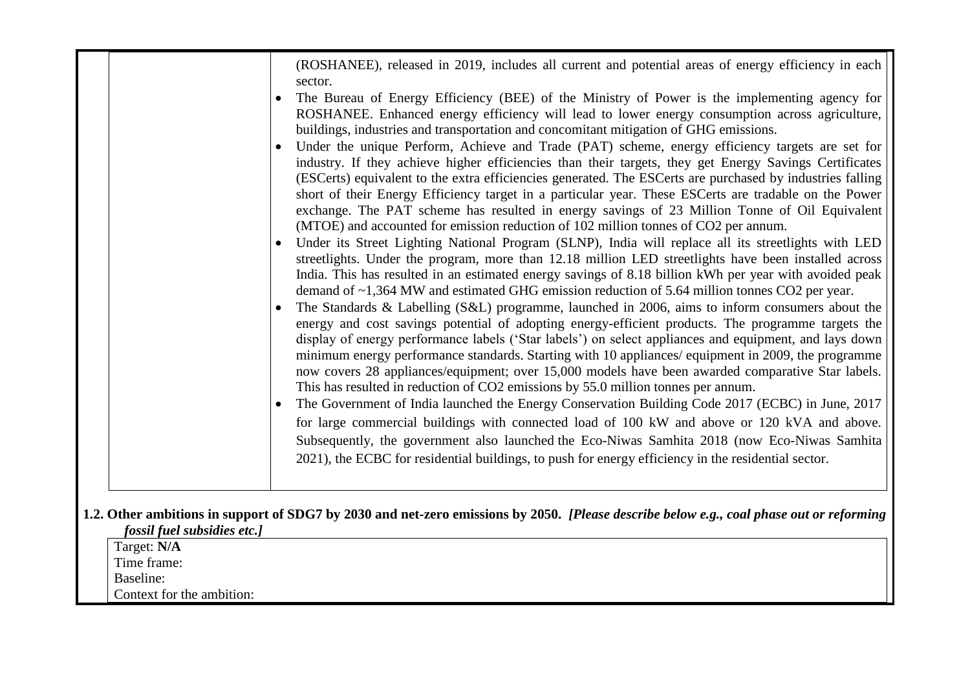|                             | (ROSHANEE), released in 2019, includes all current and potential areas of energy efficiency in each<br>sector.<br>The Bureau of Energy Efficiency (BEE) of the Ministry of Power is the implementing agency for<br>ROSHANEE. Enhanced energy efficiency will lead to lower energy consumption across agriculture,<br>buildings, industries and transportation and concomitant mitigation of GHG emissions.<br>Under the unique Perform, Achieve and Trade (PAT) scheme, energy efficiency targets are set for<br>$\bullet$<br>industry. If they achieve higher efficiencies than their targets, they get Energy Savings Certificates<br>(ESCerts) equivalent to the extra efficiencies generated. The ESCerts are purchased by industries falling<br>short of their Energy Efficiency target in a particular year. These ESCerts are tradable on the Power<br>exchange. The PAT scheme has resulted in energy savings of 23 Million Tonne of Oil Equivalent<br>(MTOE) and accounted for emission reduction of 102 million tonnes of CO2 per annum.<br>Under its Street Lighting National Program (SLNP), India will replace all its streetlights with LED<br>$\bullet$<br>streetlights. Under the program, more than 12.18 million LED streetlights have been installed across<br>India. This has resulted in an estimated energy savings of 8.18 billion kWh per year with avoided peak<br>demand of $\sim$ 1,364 MW and estimated GHG emission reduction of 5.64 million tonnes CO2 per year.<br>The Standards & Labelling (S&L) programme, launched in 2006, aims to inform consumers about the<br>$\bullet$<br>energy and cost savings potential of adopting energy-efficient products. The programme targets the<br>display of energy performance labels ('Star labels') on select appliances and equipment, and lays down<br>minimum energy performance standards. Starting with 10 appliances/ equipment in 2009, the programme<br>now covers 28 appliances/equipment; over 15,000 models have been awarded comparative Star labels.<br>This has resulted in reduction of CO2 emissions by 55.0 million tonnes per annum.<br>The Government of India launched the Energy Conservation Building Code 2017 (ECBC) in June, 2017<br>$\bullet$<br>for large commercial buildings with connected load of 100 kW and above or 120 kVA and above.<br>Subsequently, the government also launched the Eco-Niwas Samhita 2018 (now Eco-Niwas Samhita<br>2021), the ECBC for residential buildings, to push for energy efficiency in the residential sector. |
|-----------------------------|----------------------------------------------------------------------------------------------------------------------------------------------------------------------------------------------------------------------------------------------------------------------------------------------------------------------------------------------------------------------------------------------------------------------------------------------------------------------------------------------------------------------------------------------------------------------------------------------------------------------------------------------------------------------------------------------------------------------------------------------------------------------------------------------------------------------------------------------------------------------------------------------------------------------------------------------------------------------------------------------------------------------------------------------------------------------------------------------------------------------------------------------------------------------------------------------------------------------------------------------------------------------------------------------------------------------------------------------------------------------------------------------------------------------------------------------------------------------------------------------------------------------------------------------------------------------------------------------------------------------------------------------------------------------------------------------------------------------------------------------------------------------------------------------------------------------------------------------------------------------------------------------------------------------------------------------------------------------------------------------------------------------------------------------------------------------------------------------------------------------------------------------------------------------------------------------------------------------------------------------------------------------------------------------------------------------------------------------------------------------------------------------------------------------------------------------------------------------------------------------------------------------------------------------------------|
|                             |                                                                                                                                                                                                                                                                                                                                                                                                                                                                                                                                                                                                                                                                                                                                                                                                                                                                                                                                                                                                                                                                                                                                                                                                                                                                                                                                                                                                                                                                                                                                                                                                                                                                                                                                                                                                                                                                                                                                                                                                                                                                                                                                                                                                                                                                                                                                                                                                                                                                                                                                                          |
|                             | 1.2. Other ambitions in support of SDG7 by 2030 and net-zero emissions by 2050. [Please describe below e.g., coal phase out or reforming                                                                                                                                                                                                                                                                                                                                                                                                                                                                                                                                                                                                                                                                                                                                                                                                                                                                                                                                                                                                                                                                                                                                                                                                                                                                                                                                                                                                                                                                                                                                                                                                                                                                                                                                                                                                                                                                                                                                                                                                                                                                                                                                                                                                                                                                                                                                                                                                                 |
| fossil fuel subsidies etc.] |                                                                                                                                                                                                                                                                                                                                                                                                                                                                                                                                                                                                                                                                                                                                                                                                                                                                                                                                                                                                                                                                                                                                                                                                                                                                                                                                                                                                                                                                                                                                                                                                                                                                                                                                                                                                                                                                                                                                                                                                                                                                                                                                                                                                                                                                                                                                                                                                                                                                                                                                                          |
| Target: N/A                 |                                                                                                                                                                                                                                                                                                                                                                                                                                                                                                                                                                                                                                                                                                                                                                                                                                                                                                                                                                                                                                                                                                                                                                                                                                                                                                                                                                                                                                                                                                                                                                                                                                                                                                                                                                                                                                                                                                                                                                                                                                                                                                                                                                                                                                                                                                                                                                                                                                                                                                                                                          |
| Time frame:                 |                                                                                                                                                                                                                                                                                                                                                                                                                                                                                                                                                                                                                                                                                                                                                                                                                                                                                                                                                                                                                                                                                                                                                                                                                                                                                                                                                                                                                                                                                                                                                                                                                                                                                                                                                                                                                                                                                                                                                                                                                                                                                                                                                                                                                                                                                                                                                                                                                                                                                                                                                          |
| Baseline:                   |                                                                                                                                                                                                                                                                                                                                                                                                                                                                                                                                                                                                                                                                                                                                                                                                                                                                                                                                                                                                                                                                                                                                                                                                                                                                                                                                                                                                                                                                                                                                                                                                                                                                                                                                                                                                                                                                                                                                                                                                                                                                                                                                                                                                                                                                                                                                                                                                                                                                                                                                                          |
| Context for the ambition:   |                                                                                                                                                                                                                                                                                                                                                                                                                                                                                                                                                                                                                                                                                                                                                                                                                                                                                                                                                                                                                                                                                                                                                                                                                                                                                                                                                                                                                                                                                                                                                                                                                                                                                                                                                                                                                                                                                                                                                                                                                                                                                                                                                                                                                                                                                                                                                                                                                                                                                                                                                          |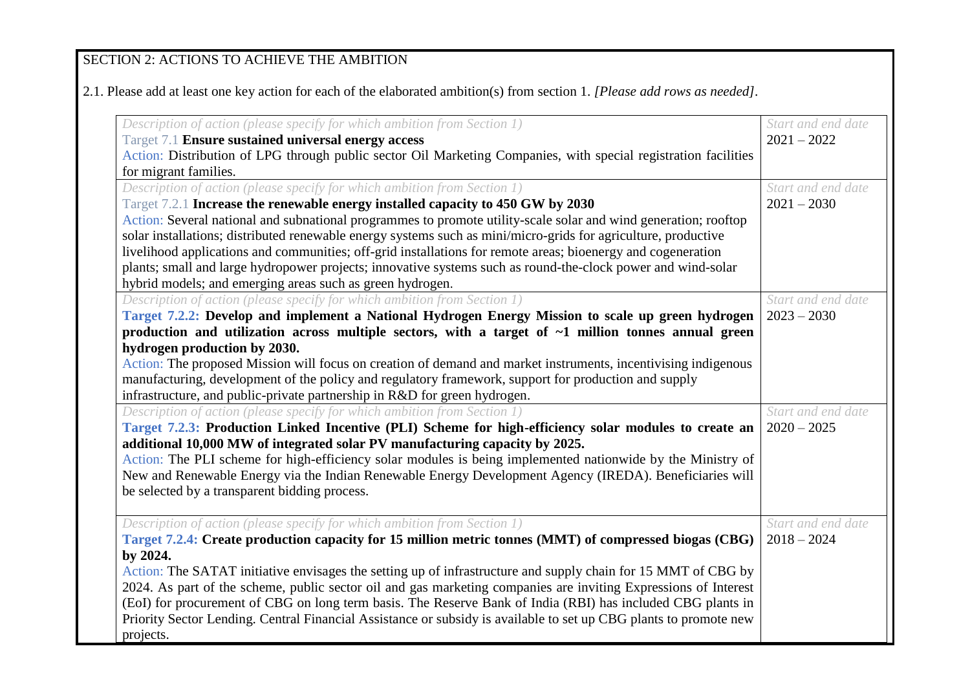# SECTION 2: ACTIONS TO ACHIEVE THE AMBITION

2.1. Please add at least one key action for each of the elaborated ambition(s) from section 1. *[Please add rows as needed].*

| Description of action (please specify for which ambition from Section 1)                                          | Start and end date |
|-------------------------------------------------------------------------------------------------------------------|--------------------|
| Target 7.1 Ensure sustained universal energy access                                                               | $2021 - 2022$      |
| Action: Distribution of LPG through public sector Oil Marketing Companies, with special registration facilities   |                    |
| for migrant families.                                                                                             |                    |
| Description of action (please specify for which ambition from Section 1)                                          | Start and end date |
| Target 7.2.1 Increase the renewable energy installed capacity to 450 GW by 2030                                   | $2021 - 2030$      |
| Action: Several national and subnational programmes to promote utility-scale solar and wind generation; rooftop   |                    |
| solar installations; distributed renewable energy systems such as mini/micro-grids for agriculture, productive    |                    |
| livelihood applications and communities; off-grid installations for remote areas; bioenergy and cogeneration      |                    |
| plants; small and large hydropower projects; innovative systems such as round-the-clock power and wind-solar      |                    |
| hybrid models; and emerging areas such as green hydrogen.                                                         |                    |
| Description of action (please specify for which ambition from Section 1)                                          | Start and end date |
| Target 7.2.2: Develop and implement a National Hydrogen Energy Mission to scale up green hydrogen                 | $2023 - 2030$      |
| production and utilization across multiple sectors, with a target of $\sim$ 1 million tonnes annual green         |                    |
| hydrogen production by 2030.                                                                                      |                    |
| Action: The proposed Mission will focus on creation of demand and market instruments, incentivising indigenous    |                    |
| manufacturing, development of the policy and regulatory framework, support for production and supply              |                    |
| infrastructure, and public-private partnership in R&D for green hydrogen.                                         |                    |
| Description of action (please specify for which ambition from Section 1)                                          | Start and end date |
| Target 7.2.3: Production Linked Incentive (PLI) Scheme for high-efficiency solar modules to create an             | $2020 - 2025$      |
| additional 10,000 MW of integrated solar PV manufacturing capacity by 2025.                                       |                    |
| Action: The PLI scheme for high-efficiency solar modules is being implemented nationwide by the Ministry of       |                    |
| New and Renewable Energy via the Indian Renewable Energy Development Agency (IREDA). Beneficiaries will           |                    |
| be selected by a transparent bidding process.                                                                     |                    |
|                                                                                                                   |                    |
| Description of action (please specify for which ambition from Section 1)                                          | Start and end date |
| Target 7.2.4: Create production capacity for 15 million metric tonnes (MMT) of compressed biogas (CBG)            | $2018 - 2024$      |
| by 2024.                                                                                                          |                    |
| Action: The SATAT initiative envisages the setting up of infrastructure and supply chain for 15 MMT of CBG by     |                    |
| 2024. As part of the scheme, public sector oil and gas marketing companies are inviting Expressions of Interest   |                    |
| (EoI) for procurement of CBG on long term basis. The Reserve Bank of India (RBI) has included CBG plants in       |                    |
| Priority Sector Lending. Central Financial Assistance or subsidy is available to set up CBG plants to promote new |                    |
| projects.                                                                                                         |                    |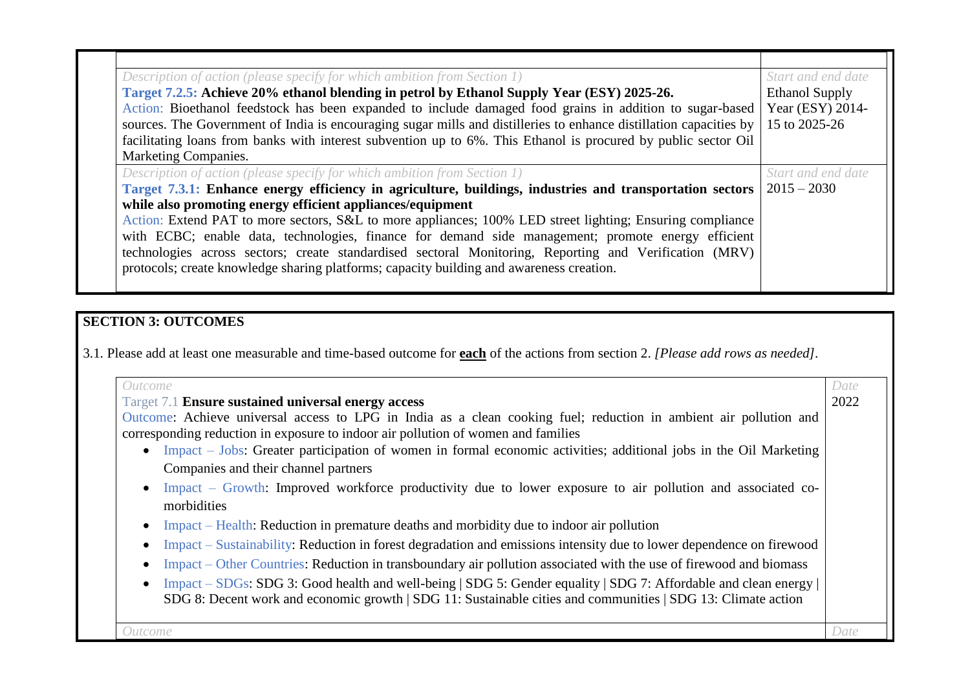| Description of action (please specify for which ambition from Section 1)                                           | Start and end date    |
|--------------------------------------------------------------------------------------------------------------------|-----------------------|
| Target 7.2.5: Achieve 20% ethanol blending in petrol by Ethanol Supply Year (ESY) 2025-26.                         | <b>Ethanol Supply</b> |
| Action: Bioethanol feedstock has been expanded to include damaged food grains in addition to sugar-based           | Year (ESY) 2014-      |
| sources. The Government of India is encouraging sugar mills and distilleries to enhance distillation capacities by | 15 to 2025-26         |
| facilitating loans from banks with interest subvention up to 6%. This Ethanol is procured by public sector Oil     |                       |
| <b>Marketing Companies.</b>                                                                                        |                       |
| Description of action (please specify for which ambition from Section 1)                                           | Start and end date    |
| Target 7.3.1: Enhance energy efficiency in agriculture, buildings, industries and transportation sectors           | $2015 - 2030$         |
| while also promoting energy efficient appliances/equipment                                                         |                       |
| Action: Extend PAT to more sectors, S&L to more appliances; 100% LED street lighting; Ensuring compliance          |                       |
| with ECBC; enable data, technologies, finance for demand side management; promote energy efficient                 |                       |
| technologies across sectors; create standardised sectoral Monitoring, Reporting and Verification (MRV)             |                       |
| protocols; create knowledge sharing platforms; capacity building and awareness creation.                           |                       |
|                                                                                                                    |                       |

# **SECTION 3: OUTCOMES**

3.1*.* Please add at least one measurable and time-based outcome for **each** of the actions from section 2. *[Please add rows as needed].*

| Outcome<br>Target 7.1 Ensure sustained universal energy access                                                       | Date<br>2022 |
|----------------------------------------------------------------------------------------------------------------------|--------------|
| Outcome: Achieve universal access to LPG in India as a clean cooking fuel; reduction in ambient air pollution and    |              |
| corresponding reduction in exposure to indoor air pollution of women and families                                    |              |
| • Impact – Jobs: Greater participation of women in formal economic activities; additional jobs in the Oil Marketing  |              |
| Companies and their channel partners                                                                                 |              |
| Impact – Growth: Improved workforce productivity due to lower exposure to air pollution and associated co-           |              |
| morbidities                                                                                                          |              |
| Impact – Health: Reduction in premature deaths and morbidity due to indoor air pollution                             |              |
| Impact – Sustainability: Reduction in forest degradation and emissions intensity due to lower dependence on firewood |              |
| Impact – Other Countries: Reduction in transboundary air pollution associated with the use of firewood and biomass   |              |
| Impact – SDGs: SDG 3: Good health and well-being   SDG 5: Gender equality   SDG 7: Affordable and clean energy       |              |
| SDG 8: Decent work and economic growth   SDG 11: Sustainable cities and communities   SDG 13: Climate action         |              |
|                                                                                                                      |              |
| Iutcome                                                                                                              | Date         |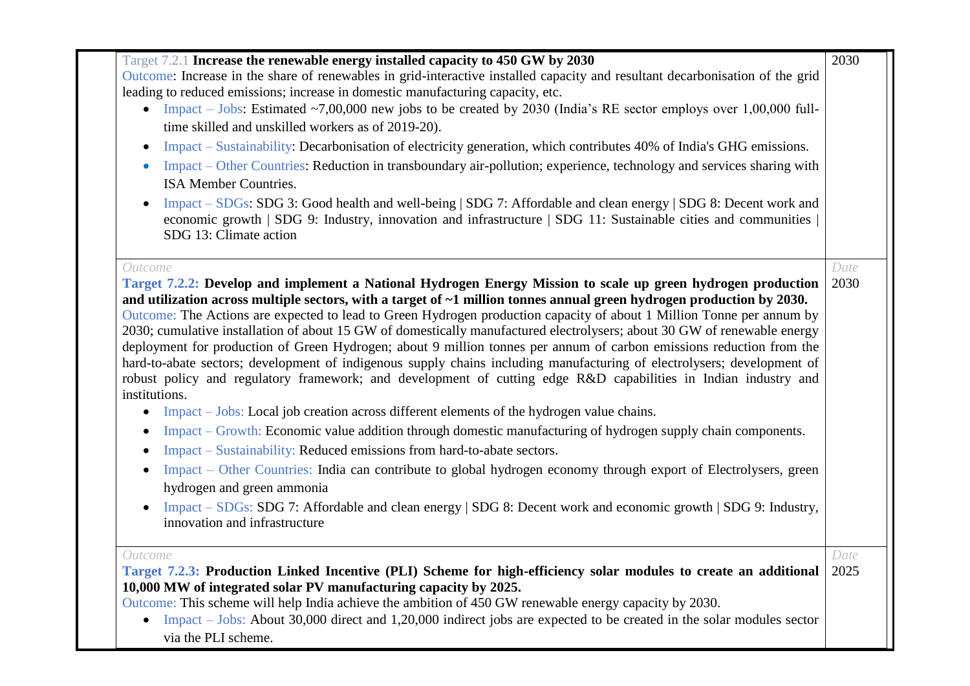| Target 7.2.1 Increase the renewable energy installed capacity to 450 GW by 2030                                                                                                                                                                                                                                                                                                                                                                                                                                                                                                                                                                                                                                                                                                                                                                                                                                                                                                                                                                                                                                                                                                            | 2030 |
|--------------------------------------------------------------------------------------------------------------------------------------------------------------------------------------------------------------------------------------------------------------------------------------------------------------------------------------------------------------------------------------------------------------------------------------------------------------------------------------------------------------------------------------------------------------------------------------------------------------------------------------------------------------------------------------------------------------------------------------------------------------------------------------------------------------------------------------------------------------------------------------------------------------------------------------------------------------------------------------------------------------------------------------------------------------------------------------------------------------------------------------------------------------------------------------------|------|
| Outcome: Increase in the share of renewables in grid-interactive installed capacity and resultant decarbonisation of the grid                                                                                                                                                                                                                                                                                                                                                                                                                                                                                                                                                                                                                                                                                                                                                                                                                                                                                                                                                                                                                                                              |      |
| leading to reduced emissions; increase in domestic manufacturing capacity, etc.                                                                                                                                                                                                                                                                                                                                                                                                                                                                                                                                                                                                                                                                                                                                                                                                                                                                                                                                                                                                                                                                                                            |      |
| • Impact – Jobs: Estimated ~7,00,000 new jobs to be created by 2030 (India's RE sector employs over 1,00,000 full-                                                                                                                                                                                                                                                                                                                                                                                                                                                                                                                                                                                                                                                                                                                                                                                                                                                                                                                                                                                                                                                                         |      |
| time skilled and unskilled workers as of 2019-20).                                                                                                                                                                                                                                                                                                                                                                                                                                                                                                                                                                                                                                                                                                                                                                                                                                                                                                                                                                                                                                                                                                                                         |      |
| Impact – Sustainability: Decarbonisation of electricity generation, which contributes 40% of India's GHG emissions.<br>$\bullet$                                                                                                                                                                                                                                                                                                                                                                                                                                                                                                                                                                                                                                                                                                                                                                                                                                                                                                                                                                                                                                                           |      |
| Impact – Other Countries: Reduction in transboundary air-pollution; experience, technology and services sharing with                                                                                                                                                                                                                                                                                                                                                                                                                                                                                                                                                                                                                                                                                                                                                                                                                                                                                                                                                                                                                                                                       |      |
| ISA Member Countries.                                                                                                                                                                                                                                                                                                                                                                                                                                                                                                                                                                                                                                                                                                                                                                                                                                                                                                                                                                                                                                                                                                                                                                      |      |
| Impact – SDGs: SDG 3: Good health and well-being   SDG 7: Affordable and clean energy   SDG 8: Decent work and<br>$\bullet$<br>economic growth   SDG 9: Industry, innovation and infrastructure   SDG 11: Sustainable cities and communities<br>SDG 13: Climate action                                                                                                                                                                                                                                                                                                                                                                                                                                                                                                                                                                                                                                                                                                                                                                                                                                                                                                                     |      |
| Outcome                                                                                                                                                                                                                                                                                                                                                                                                                                                                                                                                                                                                                                                                                                                                                                                                                                                                                                                                                                                                                                                                                                                                                                                    | Date |
| Target 7.2.2: Develop and implement a National Hydrogen Energy Mission to scale up green hydrogen production<br>and utilization across multiple sectors, with a target of ~1 million tonnes annual green hydrogen production by 2030.<br>Outcome: The Actions are expected to lead to Green Hydrogen production capacity of about 1 Million Tonne per annum by<br>2030; cumulative installation of about 15 GW of domestically manufactured electrolysers; about 30 GW of renewable energy<br>deployment for production of Green Hydrogen; about 9 million tonnes per annum of carbon emissions reduction from the<br>hard-to-abate sectors; development of indigenous supply chains including manufacturing of electrolysers; development of<br>robust policy and regulatory framework; and development of cutting edge R&D capabilities in Indian industry and<br>institutions.<br>Impact – Jobs: Local job creation across different elements of the hydrogen value chains.<br>$\bullet$<br>Impact – Growth: Economic value addition through domestic manufacturing of hydrogen supply chain components.<br>Impact – Sustainability: Reduced emissions from hard-to-abate sectors.<br>٠ | 2030 |
| Impact – Other Countries: India can contribute to global hydrogen economy through export of Electrolysers, green<br>$\bullet$                                                                                                                                                                                                                                                                                                                                                                                                                                                                                                                                                                                                                                                                                                                                                                                                                                                                                                                                                                                                                                                              |      |
| hydrogen and green ammonia                                                                                                                                                                                                                                                                                                                                                                                                                                                                                                                                                                                                                                                                                                                                                                                                                                                                                                                                                                                                                                                                                                                                                                 |      |
| Impact – SDGs: SDG 7: Affordable and clean energy   SDG 8: Decent work and economic growth   SDG 9: Industry,<br>$\bullet$<br>innovation and infrastructure                                                                                                                                                                                                                                                                                                                                                                                                                                                                                                                                                                                                                                                                                                                                                                                                                                                                                                                                                                                                                                |      |
| Outcome                                                                                                                                                                                                                                                                                                                                                                                                                                                                                                                                                                                                                                                                                                                                                                                                                                                                                                                                                                                                                                                                                                                                                                                    | Date |
| Target 7.2.3: Production Linked Incentive (PLI) Scheme for high-efficiency solar modules to create an additional                                                                                                                                                                                                                                                                                                                                                                                                                                                                                                                                                                                                                                                                                                                                                                                                                                                                                                                                                                                                                                                                           | 2025 |
| 10,000 MW of integrated solar PV manufacturing capacity by 2025.                                                                                                                                                                                                                                                                                                                                                                                                                                                                                                                                                                                                                                                                                                                                                                                                                                                                                                                                                                                                                                                                                                                           |      |
| Outcome: This scheme will help India achieve the ambition of 450 GW renewable energy capacity by 2030.<br>Impact $-$ Jobs: About 30,000 direct and 1,20,000 indirect jobs are expected to be created in the solar modules sector                                                                                                                                                                                                                                                                                                                                                                                                                                                                                                                                                                                                                                                                                                                                                                                                                                                                                                                                                           |      |
| $\bullet$<br>via the PLI scheme.                                                                                                                                                                                                                                                                                                                                                                                                                                                                                                                                                                                                                                                                                                                                                                                                                                                                                                                                                                                                                                                                                                                                                           |      |
|                                                                                                                                                                                                                                                                                                                                                                                                                                                                                                                                                                                                                                                                                                                                                                                                                                                                                                                                                                                                                                                                                                                                                                                            |      |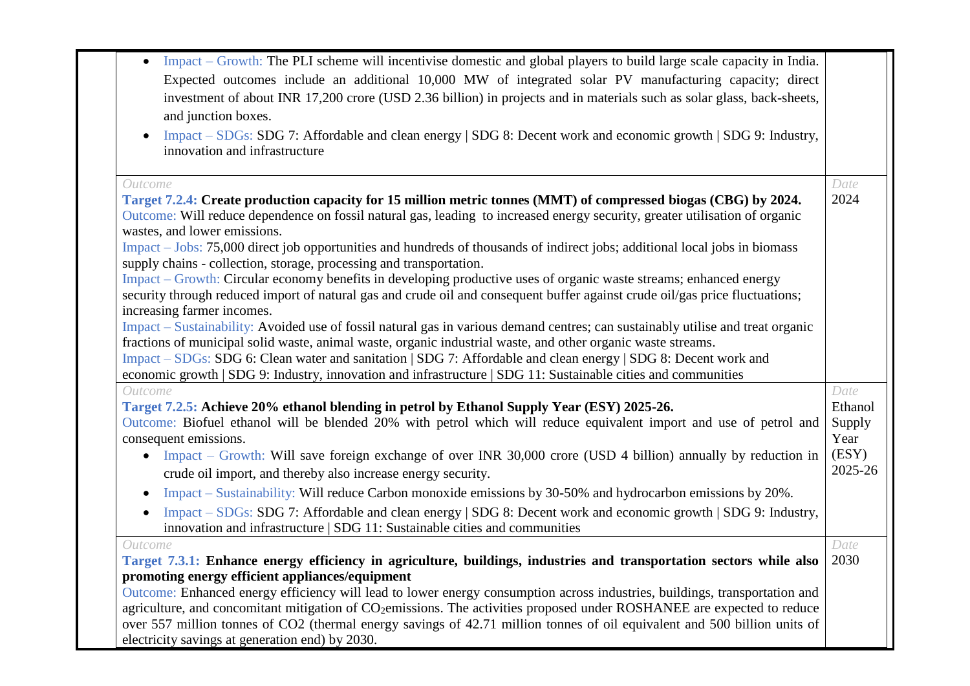| Impact – Growth: The PLI scheme will incentivise domestic and global players to build large scale capacity in India.<br>$\bullet$   |         |
|-------------------------------------------------------------------------------------------------------------------------------------|---------|
| Expected outcomes include an additional 10,000 MW of integrated solar PV manufacturing capacity; direct                             |         |
| investment of about INR 17,200 crore (USD 2.36 billion) in projects and in materials such as solar glass, back-sheets,              |         |
| and junction boxes.                                                                                                                 |         |
| Impact – SDGs: SDG 7: Affordable and clean energy   SDG 8: Decent work and economic growth   SDG 9: Industry,<br>$\bullet$          |         |
| innovation and infrastructure                                                                                                       |         |
| Outcome                                                                                                                             | Date    |
| Target 7.2.4: Create production capacity for 15 million metric tonnes (MMT) of compressed biogas (CBG) by 2024.                     | 2024    |
| Outcome: Will reduce dependence on fossil natural gas, leading to increased energy security, greater utilisation of organic         |         |
| wastes, and lower emissions.                                                                                                        |         |
| Impact – Jobs: 75,000 direct job opportunities and hundreds of thousands of indirect jobs; additional local jobs in biomass         |         |
| supply chains - collection, storage, processing and transportation.                                                                 |         |
| Impact – Growth: Circular economy benefits in developing productive uses of organic waste streams; enhanced energy                  |         |
| security through reduced import of natural gas and crude oil and consequent buffer against crude oil/gas price fluctuations;        |         |
| increasing farmer incomes.                                                                                                          |         |
| Impact – Sustainability: Avoided use of fossil natural gas in various demand centres; can sustainably utilise and treat organic     |         |
| fractions of municipal solid waste, animal waste, organic industrial waste, and other organic waste streams.                        |         |
| Impact – SDGs: SDG 6: Clean water and sanitation   SDG 7: Affordable and clean energy   SDG 8: Decent work and                      |         |
| economic growth   SDG 9: Industry, innovation and infrastructure   SDG 11: Sustainable cities and communities                       |         |
| Outcome                                                                                                                             | Date    |
| Target 7.2.5: Achieve 20% ethanol blending in petrol by Ethanol Supply Year (ESY) 2025-26.                                          | Ethanol |
| Outcome: Biofuel ethanol will be blended 20% with petrol which will reduce equivalent import and use of petrol and                  | Supply  |
| consequent emissions.                                                                                                               | Year    |
| Impact – Growth: Will save foreign exchange of over INR 30,000 crore (USD 4 billion) annually by reduction in<br>$\bullet$          | (ESY)   |
| crude oil import, and thereby also increase energy security.                                                                        | 2025-26 |
| Impact – Sustainability: Will reduce Carbon monoxide emissions by 30-50% and hydrocarbon emissions by 20%.<br>$\bullet$             |         |
| Impact – SDGs: SDG 7: Affordable and clean energy   SDG 8: Decent work and economic growth   SDG 9: Industry,<br>$\bullet$          |         |
| innovation and infrastructure   SDG 11: Sustainable cities and communities                                                          |         |
| Outcome                                                                                                                             | Date    |
| Target 7.3.1: Enhance energy efficiency in agriculture, buildings, industries and transportation sectors while also                 | 2030    |
| promoting energy efficient appliances/equipment                                                                                     |         |
| Outcome: Enhanced energy efficiency will lead to lower energy consumption across industries, buildings, transportation and          |         |
| agriculture, and concomitant mitigation of CO <sub>2</sub> emissions. The activities proposed under ROSHANEE are expected to reduce |         |
| over 557 million tonnes of CO2 (thermal energy savings of 42.71 million tonnes of oil equivalent and 500 billion units of           |         |
| electricity savings at generation end) by 2030.                                                                                     |         |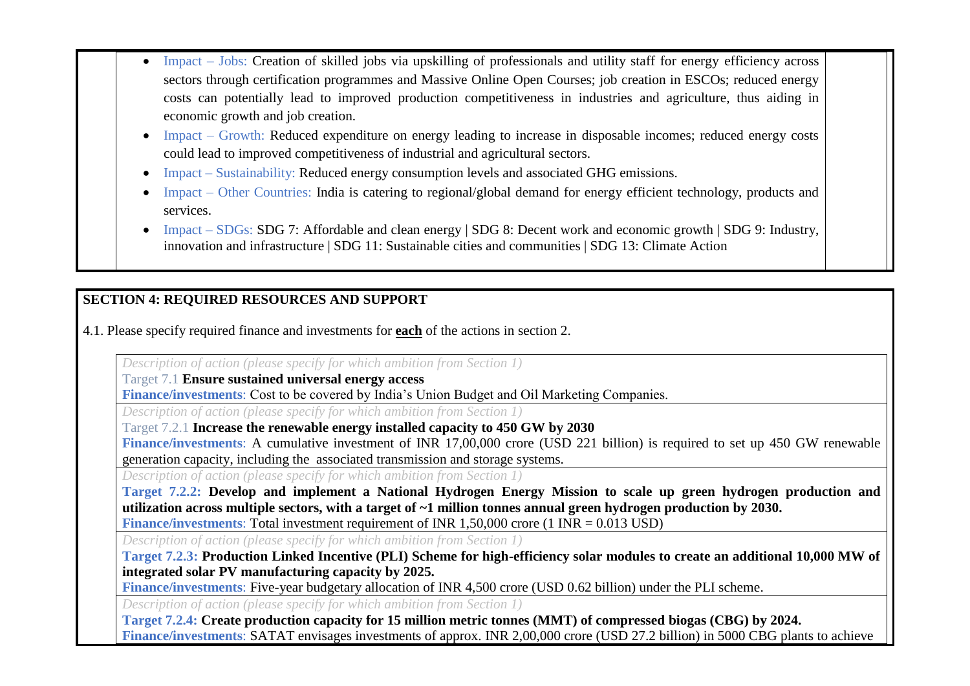- Impact Jobs: Creation of skilled jobs via upskilling of professionals and utility staff for energy efficiency across sectors through certification programmes and Massive Online Open Courses; job creation in ESCOs; reduced energy costs can potentially lead to improved production competitiveness in industries and agriculture, thus aiding in economic growth and job creation.
	- Impact Growth: Reduced expenditure on energy leading to increase in disposable incomes; reduced energy costs could lead to improved competitiveness of industrial and agricultural sectors.
	- Impact Sustainability: Reduced energy consumption levels and associated GHG emissions.
	- Impact Other Countries: India is catering to regional/global demand for energy efficient technology, products and services.
	- Impact SDGs: SDG 7: Affordable and clean energy | SDG 8: Decent work and economic growth | SDG 9: Industry, innovation and infrastructure | SDG 11: Sustainable cities and communities | SDG 13: Climate Action

# **SECTION 4: REQUIRED RESOURCES AND SUPPORT**

4.1. Please specify required finance and investments for **each** of the actions in section 2.

*Description of action (please specify for which ambition from Section 1)* 

Target 7.1 **Ensure sustained universal energy access** 

**Finance/investments**: Cost to be covered by India's Union Budget and Oil Marketing Companies.

*Description of action (please specify for which ambition from Section 1)*

Target 7.2.1 **Increase the renewable energy installed capacity to 450 GW by 2030** 

**Finance/investments**: A cumulative investment of INR 17,00,000 crore (USD 221 billion) is required to set up 450 GW renewable generation capacity, including the associated transmission and storage systems.

*Description of action (please specify for which ambition from Section 1)*

**Target 7.2.2: Develop and implement a National Hydrogen Energy Mission to scale up green hydrogen production and utilization across multiple sectors, with a target of ~1 million tonnes annual green hydrogen production by 2030. Finance/investments**: Total investment requirement of INR 1,50,000 crore (1 INR = 0.013 USD)

*Description of action (please specify for which ambition from Section 1)*

**Target 7.2.3: Production Linked Incentive (PLI) Scheme for high-efficiency solar modules to create an additional 10,000 MW of integrated solar PV manufacturing capacity by 2025.**

**Finance/investments**: Five-year budgetary allocation of INR 4,500 crore (USD 0.62 billion) under the PLI scheme.

*Description of action (please specify for which ambition from Section 1)*

**Target 7.2.4: Create production capacity for 15 million metric tonnes (MMT) of compressed biogas (CBG) by 2024. Finance/investments**: SATAT envisages investments of approx. INR 2,00,000 crore (USD 27.2 billion) in 5000 CBG plants to achieve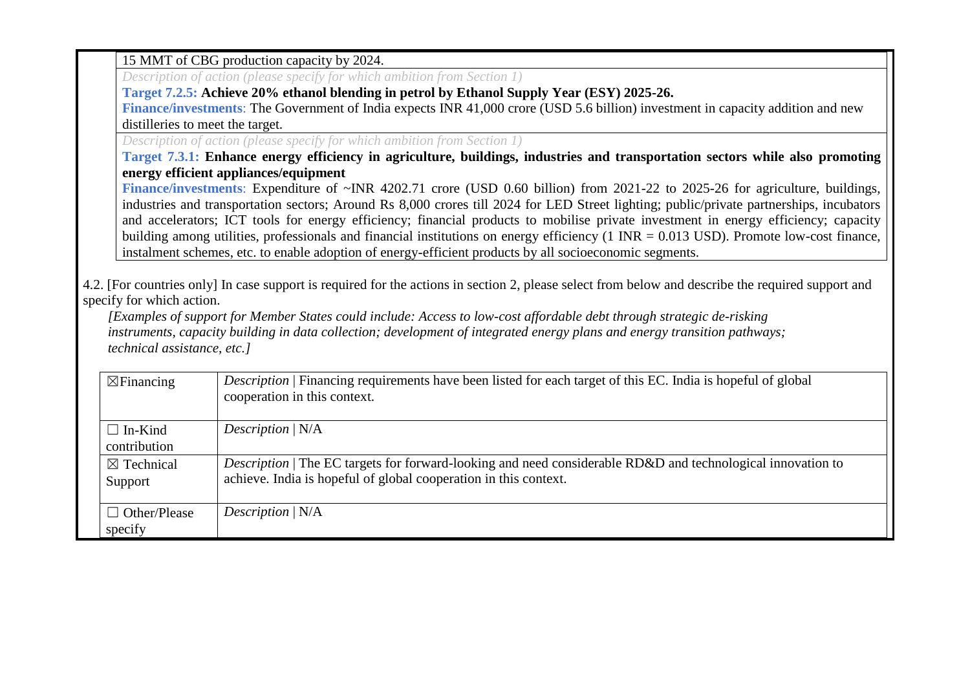15 MMT of CBG production capacity by 2024.

*Description of action (please specify for which ambition from Section 1)*

**Target 7.2.5: Achieve 20% ethanol blending in petrol by Ethanol Supply Year (ESY) 2025-26.**

**Finance/investments**: The Government of India expects INR 41,000 crore (USD 5.6 billion) investment in capacity addition and new distilleries to meet the target.

*Description of action (please specify for which ambition from Section 1)*

**Target 7.3.1: Enhance energy efficiency in agriculture, buildings, industries and transportation sectors while also promoting energy efficient appliances/equipment**

Finance/investments: Expenditure of ~INR 4202.71 crore (USD 0.60 billion) from 2021-22 to 2025-26 for agriculture, buildings, industries and transportation sectors; Around Rs 8,000 crores till 2024 for LED Street lighting; public/private partnerships, incubators and accelerators; ICT tools for energy efficiency; financial products to mobilise private investment in energy efficiency; capacity building among utilities, professionals and financial institutions on energy efficiency (1 INR = 0.013 USD). Promote low-cost finance, instalment schemes, etc. to enable adoption of energy-efficient products by all socioeconomic segments.

4.2. [For countries only] In case support is required for the actions in section 2, please select from below and describe the required support and specify for which action.

*[Examples of support for Member States could include: Access to low-cost affordable debt through strategic de-risking instruments, capacity building in data collection; development of integrated energy plans and energy transition pathways; technical assistance, etc.]*

| $\boxtimes$ Financing            | Description   Financing requirements have been listed for each target of this EC. India is hopeful of global<br>cooperation in this context.                                           |
|----------------------------------|----------------------------------------------------------------------------------------------------------------------------------------------------------------------------------------|
| $\Box$ In-Kind<br>contribution   | Description $N/A$                                                                                                                                                                      |
| $\boxtimes$ Technical<br>Support | <i>Description</i>   The EC targets for forward-looking and need considerable RD&D and technological innovation to<br>achieve. India is hopeful of global cooperation in this context. |
| $\Box$ Other/Please<br>specify   | Description $N/A$                                                                                                                                                                      |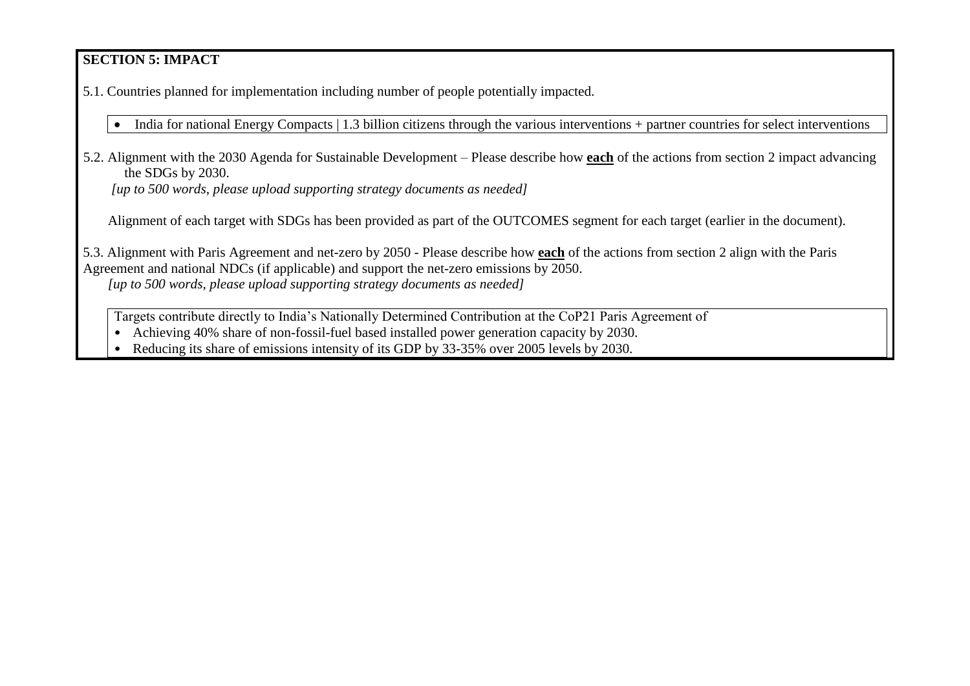## **SECTION 5: IMPACT**

5.1. Countries planned for implementation including number of people potentially impacted.

• India for national Energy Compacts | 1.3 billion citizens through the various interventions + partner countries for select interventions

5.2. Alignment with the 2030 Agenda for Sustainable Development – Please describe how **each** of the actions from section 2 impact advancing the SDGs by 2030.

*[up to 500 words, please upload supporting strategy documents as needed]* 

Alignment of each target with SDGs has been provided as part of the OUTCOMES segment for each target (earlier in the document).

5.3. Alignment with Paris Agreement and net-zero by 2050 - Please describe how **each** of the actions from section 2 align with the Paris Agreement and national NDCs (if applicable) and support the net-zero emissions by 2050. *[up to 500 words, please upload supporting strategy documents as needed]* 

Targets contribute directly to India's Nationally Determined Contribution at the CoP21 Paris Agreement of

• Achieving 40% share of non-fossil-fuel based installed power generation capacity by 2030.

• Reducing its share of emissions intensity of its GDP by 33-35% over 2005 levels by 2030.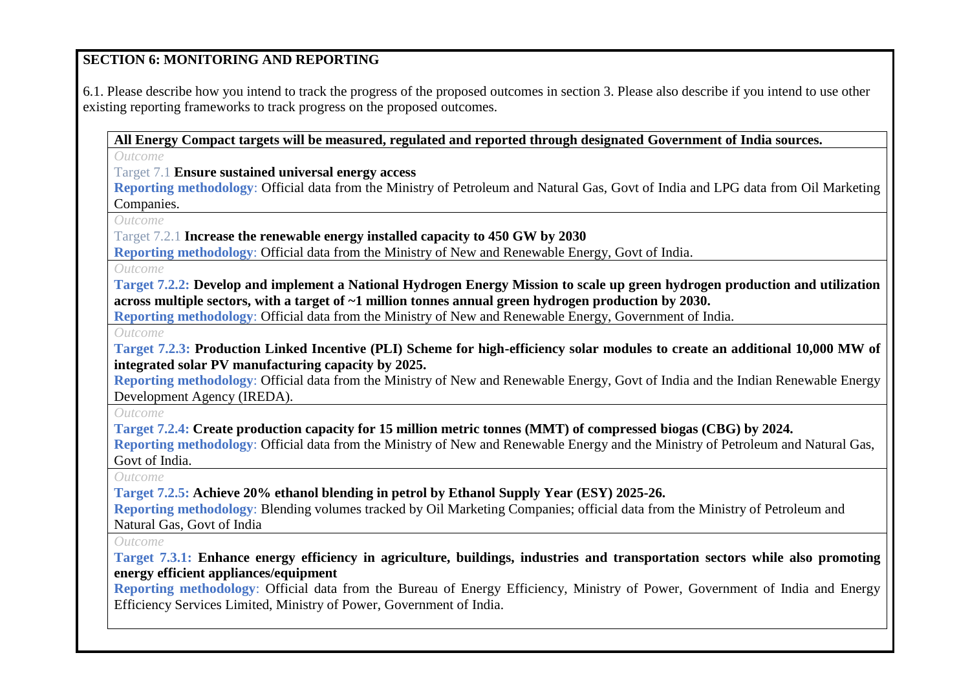#### **SECTION 6: MONITORING AND REPORTING**

6.1. Please describe how you intend to track the progress of the proposed outcomes in section 3. Please also describe if you intend to use other existing reporting frameworks to track progress on the proposed outcomes.

**All Energy Compact targets will be measured, regulated and reported through designated Government of India sources.**

*Outcome*

Target 7.1 **Ensure sustained universal energy access** 

**Reporting methodology**: Official data from the Ministry of Petroleum and Natural Gas, Govt of India and LPG data from Oil Marketing Companies.

*Outcome*

Target 7.2.1 **Increase the renewable energy installed capacity to 450 GW by 2030** 

**Reporting methodology**: Official data from the Ministry of New and Renewable Energy, Govt of India.

*Outcome*

**Target 7.2.2: Develop and implement a National Hydrogen Energy Mission to scale up green hydrogen production and utilization across multiple sectors, with a target of ~1 million tonnes annual green hydrogen production by 2030.** 

**Reporting methodology**: Official data from the Ministry of New and Renewable Energy, Government of India.

*Outcome*

**Target 7.2.3: Production Linked Incentive (PLI) Scheme for high-efficiency solar modules to create an additional 10,000 MW of integrated solar PV manufacturing capacity by 2025.**

**Reporting methodology**: Official data from the Ministry of New and Renewable Energy, Govt of India and the Indian Renewable Energy Development Agency (IREDA).

*Outcome*

**Target 7.2.4: Create production capacity for 15 million metric tonnes (MMT) of compressed biogas (CBG) by 2024.**

**Reporting methodology**: Official data from the Ministry of New and Renewable Energy and the Ministry of Petroleum and Natural Gas, Govt of India.

*Outcome*

**Target 7.2.5: Achieve 20% ethanol blending in petrol by Ethanol Supply Year (ESY) 2025-26.**

**Reporting methodology**: Blending volumes tracked by Oil Marketing Companies; official data from the Ministry of Petroleum and Natural Gas, Govt of India

*Outcome*

**Target 7.3.1: Enhance energy efficiency in agriculture, buildings, industries and transportation sectors while also promoting energy efficient appliances/equipment**

**Reporting methodology**: Official data from the Bureau of Energy Efficiency, Ministry of Power, Government of India and Energy Efficiency Services Limited, Ministry of Power, Government of India.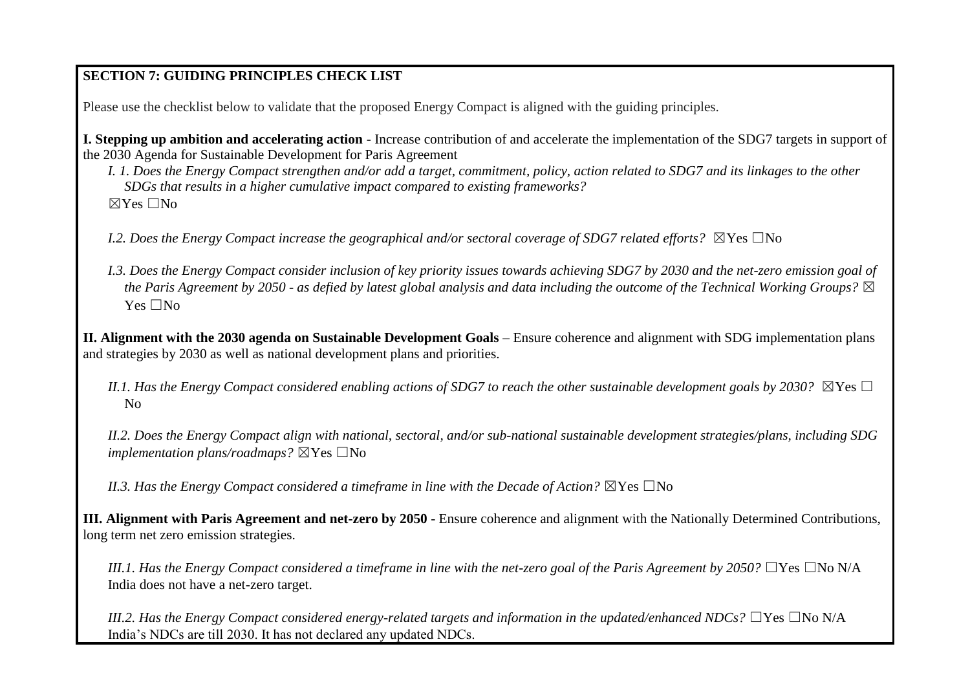#### **SECTION 7: GUIDING PRINCIPLES CHECK LIST**

Please use the checklist below to validate that the proposed Energy Compact is aligned with the guiding principles.

**I. Stepping up ambition and accelerating action** - Increase contribution of and accelerate the implementation of the SDG7 targets in support of the 2030 Agenda for Sustainable Development for Paris Agreement

*I. 1. Does the Energy Compact strengthen and/or add a target, commitment, policy, action related to SDG7 and its linkages to the other SDGs that results in a higher cumulative impact compared to existing frameworks?*   $\boxtimes$  Yes  $\Box$ No

*I.2. Does the Energy Compact increase the geographical and/or sectoral coverage of SDG7 related efforts?* ⊠Yes □No

*I.3. Does the Energy Compact consider inclusion of key priority issues towards achieving SDG7 by 2030 and the net-zero emission goal of the Paris Agreement by 2050 - as defied by latest global analysis and data including the outcome of the Technical Working Groups?* ☒  $Yes \Box No$ 

**II. Alignment with the 2030 agenda on Sustainable Development Goals** – Ensure coherence and alignment with SDG implementation plans and strategies by 2030 as well as national development plans and priorities.

*II.1. Has the Energy Compact considered enabling actions of SDG7 to reach the other sustainable development goals by 2030?*  $\boxtimes$ Yes  $\Box$ No

*II.2. Does the Energy Compact align with national, sectoral, and/or sub-national sustainable development strategies/plans, including SDG implementation plans/roadmaps?* ⊠Yes □No

*II.3. Has the Energy Compact considered a timeframe in line with the Decade of Action?*  $\boxtimes$ Yes  $\Box$ No

**III. Alignment with Paris Agreement and net-zero by 2050** - Ensure coherence and alignment with the Nationally Determined Contributions, long term net zero emission strategies.

*III.1. Has the Energy Compact considered a timeframe in line with the net-zero goal of the Paris Agreement by 2050?* □Yes □No N/A India does not have a net-zero target.

*III.2. Has the Energy Compact considered energy-related targets and information in the updated/enhanced NDCs?* □Yes □No N/A India's NDCs are till 2030. It has not declared any updated NDCs.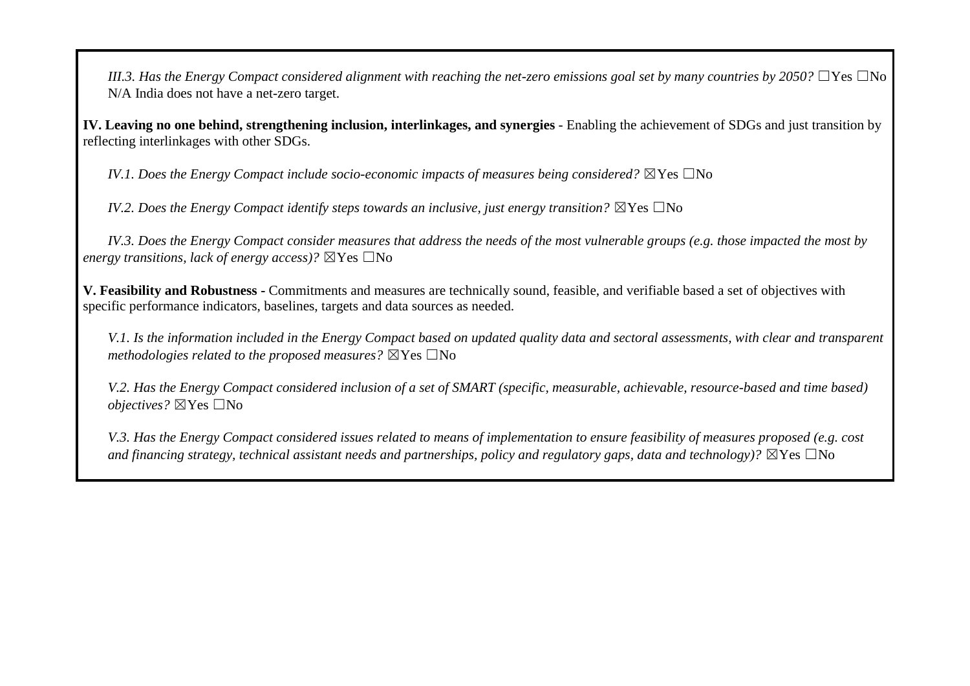*III.3. Has the Energy Compact considered alignment with reaching the net-zero emissions goal set by many countries by 2050?* □Yes □No N/A India does not have a net-zero target.

**IV. Leaving no one behind, strengthening inclusion, interlinkages, and synergies** - Enabling the achievement of SDGs and just transition by reflecting interlinkages with other SDGs.

*IV.1. Does the Energy Compact include socio-economic impacts of measures being considered?* ⊠Yes □No

*IV.2. Does the Energy Compact identify steps towards an inclusive, just energy transition?*  $\boxtimes$ Yes  $\Box$ No

*IV.3. Does the Energy Compact consider measures that address the needs of the most vulnerable groups (e.g. those impacted the most by energy transitions, lack of energy access)?*  $\boxtimes$  Yes  $\Box$  No

**V. Feasibility and Robustness -** Commitments and measures are technically sound, feasible, and verifiable based a set of objectives with specific performance indicators, baselines, targets and data sources as needed.

*V.1. Is the information included in the Energy Compact based on updated quality data and sectoral assessments, with clear and transparent methodologies related to the proposed measures?* ⊠Yes □No

*V.2. Has the Energy Compact considered inclusion of a set of SMART (specific, measurable, achievable, resource-based and time based) objectives?* ⊠Yes □No

*V.3. Has the Energy Compact considered issues related to means of implementation to ensure feasibility of measures proposed (e.g. cost*  and financing strategy, technical assistant needs and partnerships, policy and regulatory gaps, data and technology)?  $\boxtimes$ Yes  $\Box$ No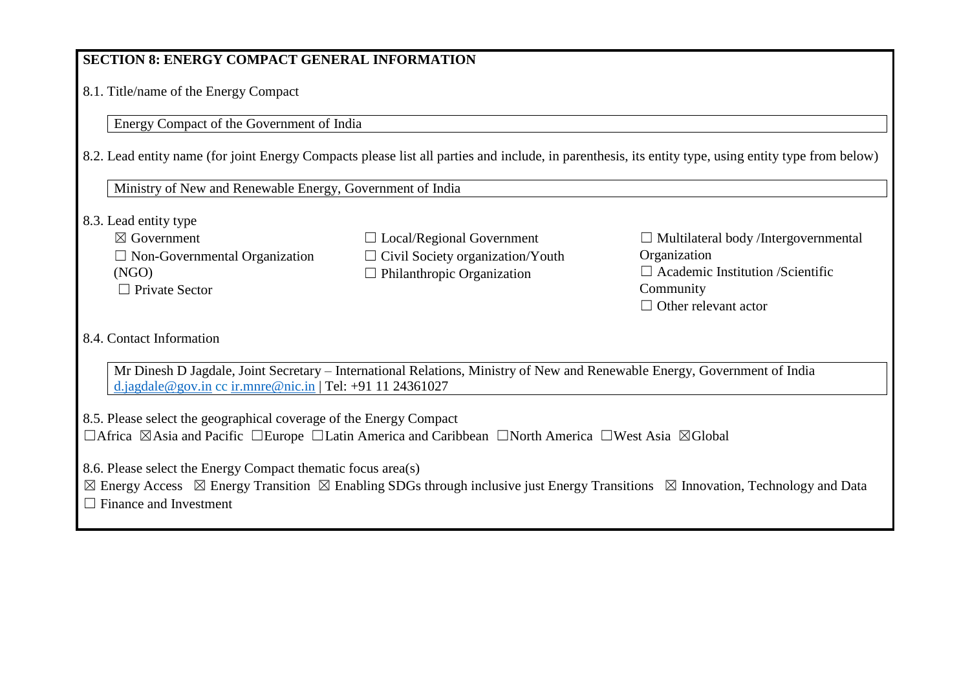## **SECTION 8: ENERGY COMPACT GENERAL INFORMATION**

8.1. Title/name of the Energy Compact

Energy Compact of the Government of India

8.2. Lead entity name (for joint Energy Compacts please list all parties and include, in parenthesis, its entity type, using entity type from below)

Ministry of New and Renewable Energy, Government of India

8.3. Lead entity type

| $\boxtimes$ Government               |
|--------------------------------------|
| $\Box$ Non-Governmental Organization |
| (NGO)                                |
| $\Box$ Private Sector                |

☐ Local/Regional Government  $\Box$  Civil Society organization/Youth  $\Box$  Philanthropic Organization

☐ Multilateral body /Intergovernmental Organization  $\Box$  Academic Institution /Scientific Community ☐ Other relevant actor

#### 8.4. Contact Information

Mr Dinesh D Jagdale, Joint Secretary – International Relations, Ministry of New and Renewable Energy, Government of India [d.jagdale@gov.in](mailto:d.jagdale@gov.in) cc [ir.mnre@nic.in](mailto:ir.mnre@nic.in) | Tel: +91 11 24361027

8.5. Please select the geographical coverage of the Energy Compact

☐Africa ☒Asia and Pacific ☐Europe ☐Latin America and Caribbean ☐North America ☐West Asia ☒Global

8.6. Please select the Energy Compact thematic focus area(s)

 $\boxtimes$  Energy Access  $\boxtimes$  Energy Transition  $\boxtimes$  Enabling SDGs through inclusive just Energy Transitions  $\boxtimes$  Innovation, Technology and Data

 $\Box$  Finance and Investment